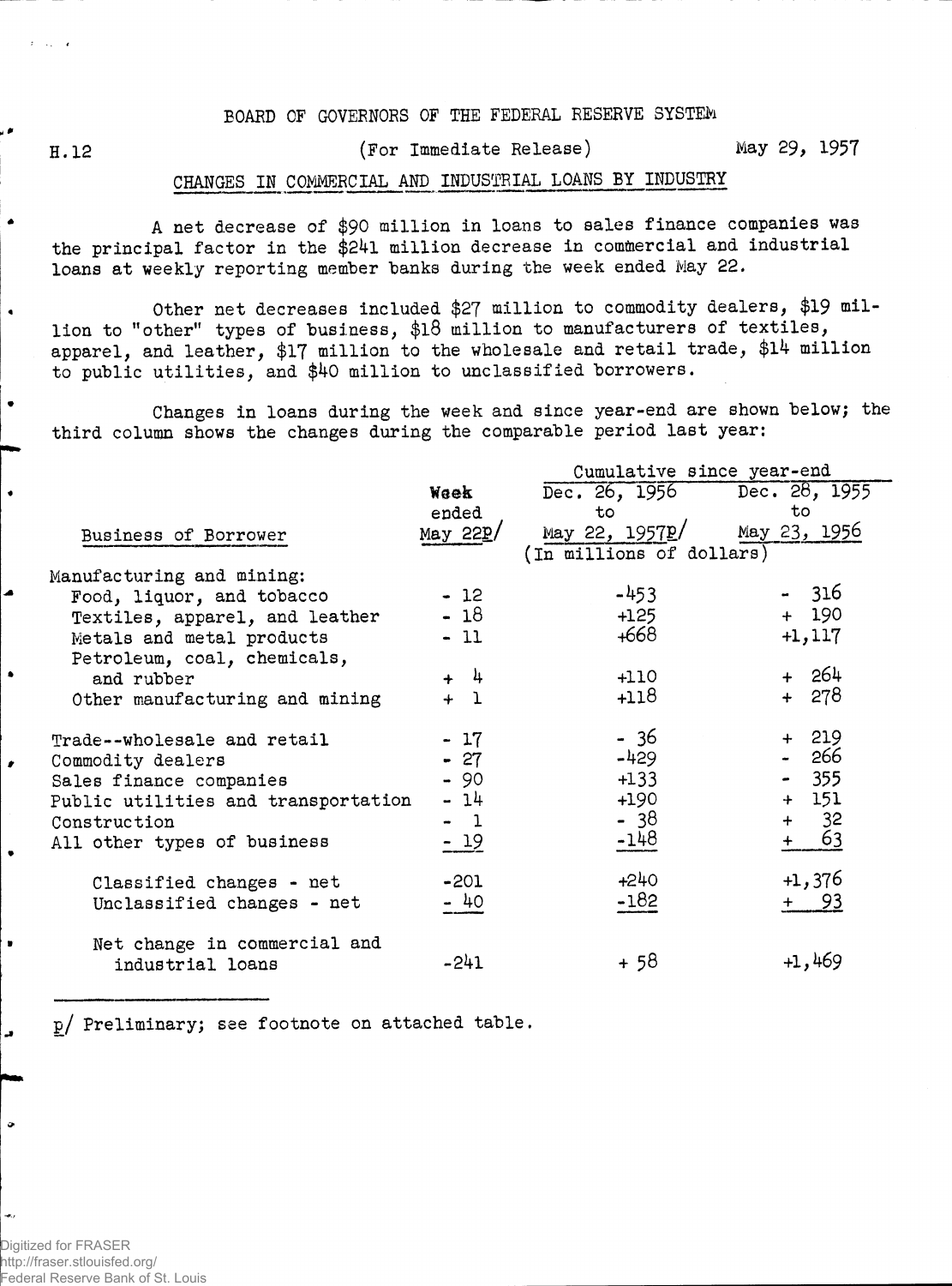## BOARD OF GOVERNORS OF THE FEDERAL RESERVE SYSTEM

H. 12

 $\bullet$ 

 $\bullet$ 

## (For Immediate Release)

May 29, 1957

## CHANGES IN COMMERCIAL AND INDUSTRIAL LOANS BY INDUSTRY

A net decrease of \$90 million in loans to sales finance companies was the principal factor in the \$24l million decrease in commercial and industrial loans at weekly reporting member banks during the week ended May 22.

Other net decreases included \$27 million to commodity dealers, \$19 million to "other" types of business, \$l8 million to manufacturers of textiles, apparel, and leather, \$17 million to the wholesale and retail trade, \$14 million to public utilities, and \$40 million to unclassified borrowers.

Changes in loans during the week and since year-end are shown below; the third column shows the changes during the comparable period last year:

|                                     |                         | Cumulative since year-end                           |           |  |  |  |  |  |  |
|-------------------------------------|-------------------------|-----------------------------------------------------|-----------|--|--|--|--|--|--|
|                                     | Waek                    | Dec. 26, 1956 Dec. 28, 1955                         |           |  |  |  |  |  |  |
|                                     | ended                   | to                                                  | to        |  |  |  |  |  |  |
| Business of Borrower                | May $22\underline{P}$ / | May 23, 1956                                        |           |  |  |  |  |  |  |
|                                     |                         | May 22, 1957 <u>p</u> /<br>(In millions of dollars) |           |  |  |  |  |  |  |
| Manufacturing and mining:           |                         |                                                     |           |  |  |  |  |  |  |
| Food, liquor, and tobacco           | $-12$                   | $-453$                                              | - 316     |  |  |  |  |  |  |
| Textiles, apparel, and leather      | $-18$                   | +125                                                | $+ 190$   |  |  |  |  |  |  |
| Metals and metal products           | $-11$                   | +668                                                | $+1, 117$ |  |  |  |  |  |  |
| Petroleum, coal, chemicals,         |                         |                                                     |           |  |  |  |  |  |  |
| and rubber                          | $+ 4$                   | +110                                                | $+ 264$   |  |  |  |  |  |  |
| Other manufacturing and mining      | $+1$                    | +118                                                | + 278     |  |  |  |  |  |  |
|                                     |                         |                                                     |           |  |  |  |  |  |  |
| Trade--wholesale and retail         | $-17$                   | - 36                                                | + 219     |  |  |  |  |  |  |
| Commodity dealers                   | $-27$                   | -429                                                | - 266     |  |  |  |  |  |  |
| Sales finance companies             | $-90$                   | $+133$                                              | $-355$    |  |  |  |  |  |  |
| Public utilities and transportation | - 14                    | $+190$                                              | $+ 151$   |  |  |  |  |  |  |
| Construction                        | $-1$                    | - 38                                                | $+ 32$    |  |  |  |  |  |  |
| All other types of business         | $-19$                   | $-148$                                              | 63<br>$+$ |  |  |  |  |  |  |
|                                     |                         |                                                     |           |  |  |  |  |  |  |
| Classified changes - net            | $-201$                  | $+240$                                              | +1,376    |  |  |  |  |  |  |
| Unclassified changes - net          | - 40                    | $-182$                                              | $+ 93$    |  |  |  |  |  |  |
|                                     |                         |                                                     |           |  |  |  |  |  |  |
| Net change in commercial and        |                         |                                                     |           |  |  |  |  |  |  |
| industrial loans                    | -241                    | + 58                                                | $+1,469$  |  |  |  |  |  |  |
|                                     |                         |                                                     |           |  |  |  |  |  |  |

p/ Preliminary; see footnote on attached table.

Digitized for FRASER http://fraser.stlouisfed.org/ Federal Reserve Bank of St. Louis